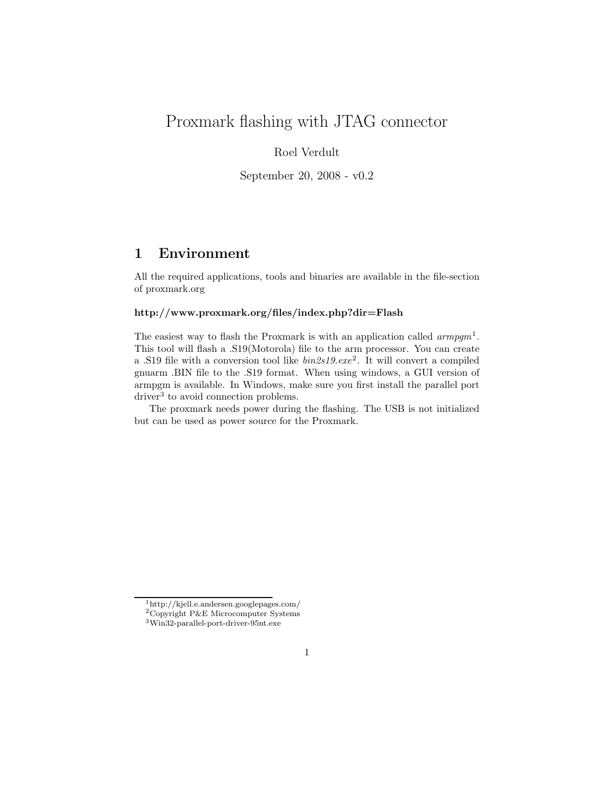# Proxmark flashing with JTAG connector

### Roel Verdult

September 20, 2008 - v0.2

### 1 Environment

All the required applications, tools and binaries are available in the file-section of proxmark.org

#### http://www.proxmark.org/files/index.php?dir=Flash

The easiest way to flash the Proxmark is with an application called  $\text{armpgm}^1$ . This tool will flash a .S19(Motorola) file to the arm processor. You can create a .S19 file with a conversion tool like  $bin2s19.exe^2$ . It will convert a compiled gnuarm .BIN file to the .S19 format. When using windows, a GUI version of armpgm is available. In Windows, make sure you first install the parallel port driver<sup>3</sup> to avoid connection problems.

The proxmark needs power during the flashing. The USB is not initialized but can be used as power source for the Proxmark.

<sup>1</sup>http://kjell.e.andersen.googlepages.com/

<sup>2</sup>Copyright P&E Microcomputer Systems

<sup>3</sup>Win32-parallel-port-driver-95nt.exe